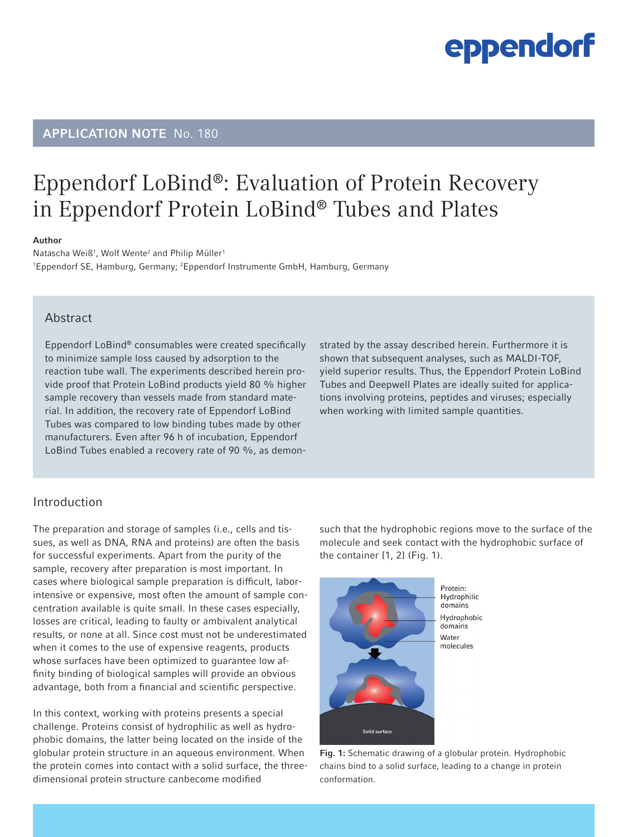### APPLICATION NOTE No. 180

### Eppendorf LoBind®: Evaluation of Protein Recovery in Eppendorf Protein LoBind® Tubes and Plates

#### Author

Natascha Weiß<sup>1</sup>, Wolf Wente<sup>2</sup> and Philip Müller<sup>1</sup> <sup>1</sup>Eppendorf SE, Hamburg, Germany; <sup>2</sup>Eppendorf Instrumente GmbH, Hamburg, Germany

#### Abstract

Eppendorf LoBind® consumables were created specifically to minimize sample loss caused by adsorption to the reaction tube wall. The experiments described herein provide proof that Protein LoBind products yield 80 % higher sample recovery than vessels made from standard material. In addition, the recovery rate of Eppendorf LoBind Tubes was compared to low binding tubes made by other manufacturers. Even after 96 h of incubation, Eppendorf LoBind Tubes enabled a recovery rate of 90 %, as demonstrated by the assay described herein. Furthermore it is shown that subsequent analyses, such as MALDI-TOF, yield superior results. Thus, the Eppendorf Protein LoBind Tubes and Deepwell Plates are ideally suited for applications involving proteins, peptides and viruses; especially when working with limited sample quantities.

#### Introduction

The preparation and storage of samples (i.e., cells and tissues, as well as DNA, RNA and proteins) are often the basis for successful experiments. Apart from the purity of the sample, recovery after preparation is most important. In cases where biological sample preparation is difficult, laborintensive or expensive, most often the amount of sample concentration available is quite small. In these cases especially, losses are critical, leading to faulty or ambivalent analytical results, or none at all. Since cost must not be underestimated when it comes to the use of expensive reagents, products whose surfaces have been optimized to guarantee low affinity binding of biological samples will provide an obvious advantage, both from a financial and scientific perspective.

In this context, working with proteins presents a special challenge. Proteins consist of hydrophilic as well as hydrophobic domains, the latter being located on the inside of the globular protein structure in an aqueous environment. When the protein comes into contact with a solid surface, the threedimensional protein structure canbecome modified

such that the hydrophobic regions move to the surface of the molecule and seek contact with the hydrophobic surface of the container [1, 2] (Fig. 1).



Fig. 1: Schematic drawing of a globular protein. Hydrophobic chains bind to a solid surface, leading to a change in protein conformation.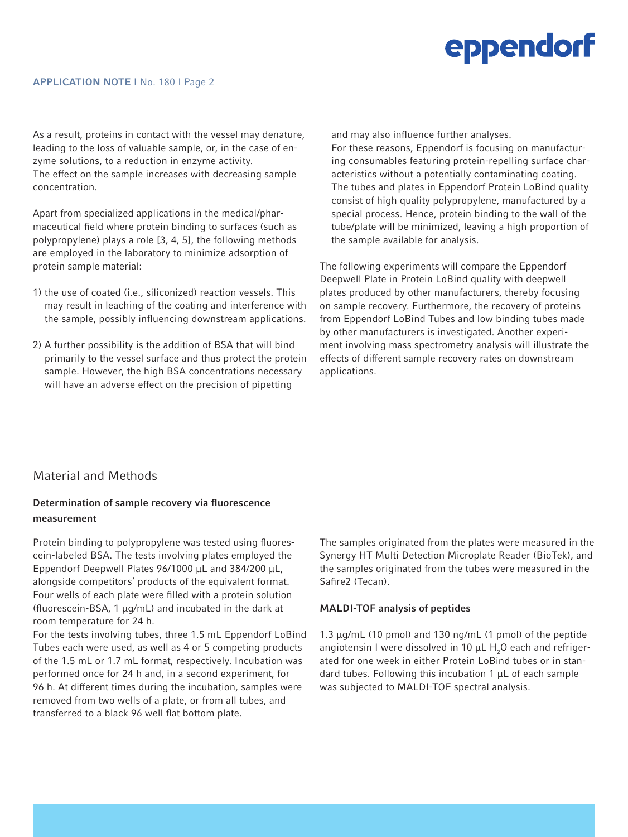#### APPLICATION NOTE I No. 180 I Page 2

As a result, proteins in contact with the vessel may denature, leading to the loss of valuable sample, or, in the case of enzyme solutions, to a reduction in enzyme activity. The effect on the sample increases with decreasing sample concentration.

Apart from specialized applications in the medical/pharmaceutical field where protein binding to surfaces (such as polypropylene) plays a role [3, 4, 5], the following methods are employed in the laboratory to minimize adsorption of protein sample material:

- 1) the use of coated (i.e., siliconized) reaction vessels. This may result in leaching of the coating and interference with the sample, possibly influencing downstream applications.
- 2) A further possibility is the addition of BSA that will bind primarily to the vessel surface and thus protect the protein sample. However, the high BSA concentrations necessary will have an adverse effect on the precision of pipetting

and may also influence further analyses.

For these reasons, Eppendorf is focusing on manufacturing consumables featuring protein-repelling surface characteristics without a potentially contaminating coating. The tubes and plates in Eppendorf Protein LoBind quality consist of high quality polypropylene, manufactured by a special process. Hence, protein binding to the wall of the tube/plate will be minimized, leaving a high proportion of the sample available for analysis.

The following experiments will compare the Eppendorf Deepwell Plate in Protein LoBind quality with deepwell plates produced by other manufacturers, thereby focusing on sample recovery. Furthermore, the recovery of proteins from Eppendorf LoBind Tubes and low binding tubes made by other manufacturers is investigated. Another experiment involving mass spectrometry analysis will illustrate the effects of different sample recovery rates on downstream applications.

### Material and Methods

### Determination of sample recovery via fluorescence measurement

Protein binding to polypropylene was tested using fluorescein-labeled BSA. The tests involving plates employed the Eppendorf Deepwell Plates 96/1000 µL and 384/200 µL, alongside competitors' products of the equivalent format. Four wells of each plate were filled with a protein solution (fluorescein-BSA, 1 µg/mL) and incubated in the dark at room temperature for 24 h.

For the tests involving tubes, three 1.5 mL Eppendorf LoBind Tubes each were used, as well as 4 or 5 competing products of the 1.5 mL or 1.7 mL format, respectively. Incubation was performed once for 24 h and, in a second experiment, for 96 h. At different times during the incubation, samples were removed from two wells of a plate, or from all tubes, and transferred to a black 96 well flat bottom plate.

The samples originated from the plates were measured in the Synergy HT Multi Detection Microplate Reader (BioTek), and the samples originated from the tubes were measured in the Safire2 (Tecan).

#### MALDI-TOF analysis of peptides

1.3 µg/mL (10 pmol) and 130 ng/mL (1 pmol) of the peptide angiotensin I were dissolved in 10  $\mu$ L H<sub>2</sub>O each and refrigerated for one week in either Protein LoBind tubes or in standard tubes. Following this incubation 1 µL of each sample was subjected to MALDI-TOF spectral analysis.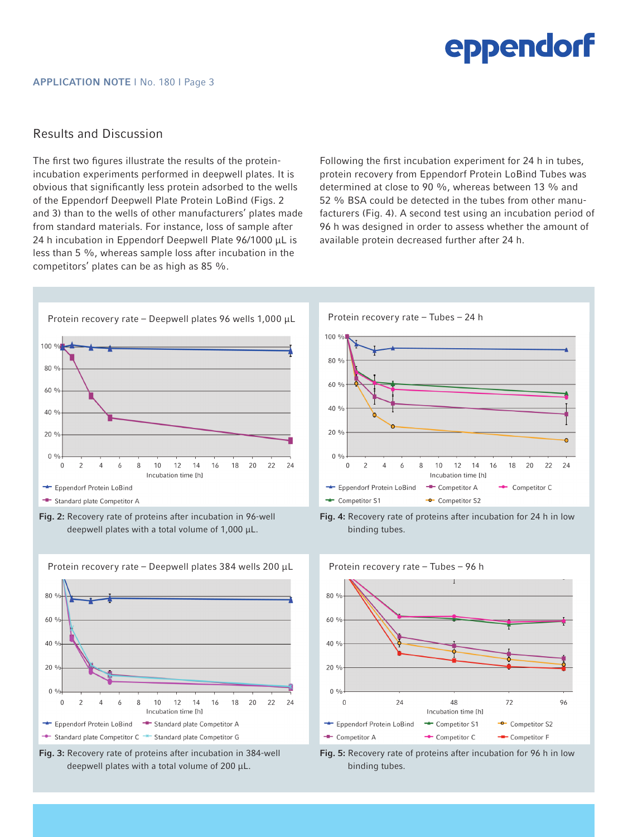### Results and Discussion

The first two figures illustrate the results of the proteinincubation experiments performed in deepwell plates. It is obvious that significantly less protein adsorbed to the wells of the Eppendorf Deepwell Plate Protein LoBind (Figs. 2 and 3) than to the wells of other manufacturers' plates made from standard materials. For instance, loss of sample after 24 h incubation in Eppendorf Deepwell Plate 96/1000 µL is less than 5 %, whereas sample loss after incubation in the competitors' plates can be as high as 85 %.

Following the first incubation experiment for 24 h in tubes, protein recovery from Eppendorf Protein LoBind Tubes was determined at close to 90 %, whereas between 13 % and 52 % BSA could be detected in the tubes from other manufacturers (Fig. 4). A second test using an incubation period of 96 h was designed in order to assess whether the amount of available protein decreased further after 24 h.

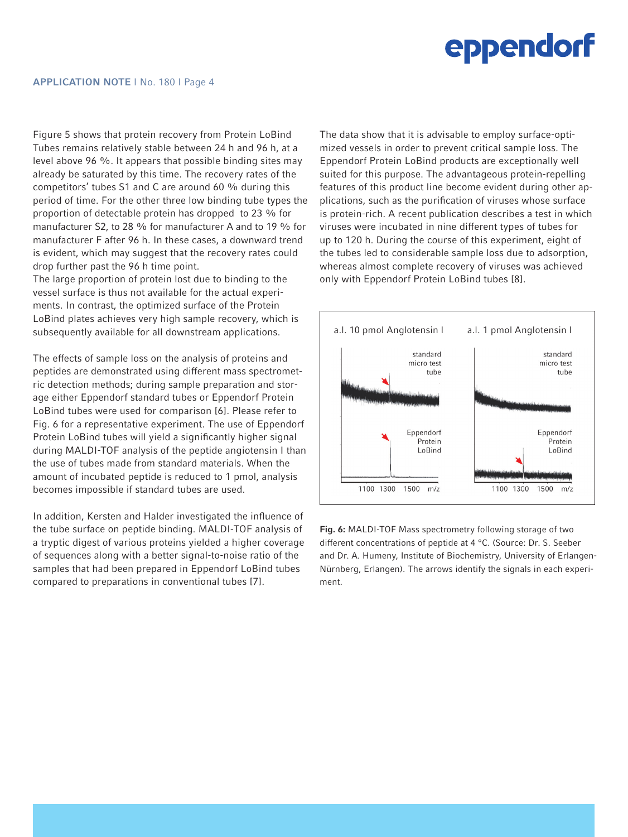Figure 5 shows that protein recovery from Protein LoBind Tubes remains relatively stable between 24 h and 96 h, at a level above 96 %. It appears that possible binding sites may already be saturated by this time. The recovery rates of the competitors' tubes S1 and C are around 60 % during this period of time. For the other three low binding tube types the proportion of detectable protein has dropped to 23 % for manufacturer S2, to 28 % for manufacturer A and to 19 % for manufacturer F after 96 h. In these cases, a downward trend is evident, which may suggest that the recovery rates could drop further past the 96 h time point.

The large proportion of protein lost due to binding to the vessel surface is thus not available for the actual experiments. In contrast, the optimized surface of the Protein LoBind plates achieves very high sample recovery, which is subsequently available for all downstream applications.

The effects of sample loss on the analysis of proteins and peptides are demonstrated using different mass spectrometric detection methods; during sample preparation and storage either Eppendorf standard tubes or Eppendorf Protein LoBind tubes were used for comparison [6]. Please refer to Fig. 6 for a representative experiment. The use of Eppendorf Protein LoBind tubes will yield a significantly higher signal during MALDI-TOF analysis of the peptide angiotensin I than the use of tubes made from standard materials. When the amount of incubated peptide is reduced to 1 pmol, analysis becomes impossible if standard tubes are used.

In addition, Kersten and Halder investigated the influence of the tube surface on peptide binding. MALDI-TOF analysis of a tryptic digest of various proteins yielded a higher coverage of sequences along with a better signal-to-noise ratio of the samples that had been prepared in Eppendorf LoBind tubes compared to preparations in conventional tubes [7].

The data show that it is advisable to employ surface-optimized vessels in order to prevent critical sample loss. The Eppendorf Protein LoBind products are exceptionally well suited for this purpose. The advantageous protein-repelling features of this product line become evident during other applications, such as the purification of viruses whose surface is protein-rich. A recent publication describes a test in which viruses were incubated in nine different types of tubes for up to 120 h. During the course of this experiment, eight of the tubes led to considerable sample loss due to adsorption, whereas almost complete recovery of viruses was achieved only with Eppendorf Protein LoBind tubes [8].



Fig. 6: MALDI-TOF Mass spectrometry following storage of two different concentrations of peptide at 4 °C. (Source: Dr. S. Seeber and Dr. A. Humeny, Institute of Biochemistry, University of Erlangen-Nürnberg, Erlangen). The arrows identify the signals in each experiment.